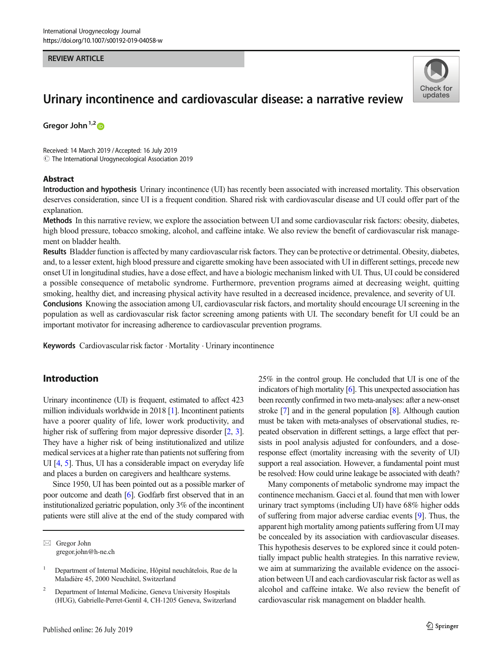#### **REVIEW ARTICLE** REVIEW ARTICLE

# Urinary incontinence and cardiovascular disease: a narrative review

Check for undates

Gregor John $^{1,2}$  D

Received: 14 March 2019 /Accepted: 16 July 2019  $\odot$  The International Urogynecological Association 2019

#### **Abstract**

Introduction and hypothesis Urinary incontinence (UI) has recently been associated with increased mortality. This observation deserves consideration, since UI is a frequent condition. Shared risk with cardiovascular disease and UI could offer part of the explanation.

Methods In this narrative review, we explore the association between UI and some cardiovascular risk factors: obesity, diabetes, high blood pressure, tobacco smoking, alcohol, and caffeine intake. We also review the benefit of cardiovascular risk management on bladder health.

Results Bladder function is affected by many cardiovascular risk factors. They can be protective or detrimental. Obesity, diabetes, and, to a lesser extent, high blood pressure and cigarette smoking have been associated with UI in different settings, precede new onset UI in longitudinal studies, have a dose effect, and have a biologic mechanism linked with UI. Thus, UI could be considered a possible consequence of metabolic syndrome. Furthermore, prevention programs aimed at decreasing weight, quitting smoking, healthy diet, and increasing physical activity have resulted in a decreased incidence, prevalence, and severity of UI. Conclusions Knowing the association among UI, cardiovascular risk factors, and mortality should encourage UI screening in the population as well as cardiovascular risk factor screening among patients with UI. The secondary benefit for UI could be an important motivator for increasing adherence to cardiovascular prevention programs.

Keywords Cardiovascular risk factor . Mortality . Urinary incontinence

# Introduction

Urinary incontinence (UI) is frequent, estimated to affect 423 million individuals worldwide in 2018 [\[1\]](#page-4-0). Incontinent patients have a poorer quality of life, lower work productivity, and higher risk of suffering from major depressive disorder [[2](#page-4-0), [3\]](#page-4-0). They have a higher risk of being institutionalized and utilize medical services at a higher rate than patients not suffering from UI [[4,](#page-4-0) [5](#page-5-0)]. Thus, UI has a considerable impact on everyday life and places a burden on caregivers and healthcare systems.

Since 1950, UI has been pointed out as a possible marker of poor outcome and death [\[6](#page-5-0)]. Godfarb first observed that in an institutionalized geriatric population, only 3% of the incontinent patients were still alive at the end of the study compared with

 $\boxtimes$  Gregor John [gregor.john@h-ne.ch](mailto:gregor.john@h-ne.ch) 25% in the control group. He concluded that UI is one of the indicators of high mortality [\[6](#page-5-0)]. This unexpected association has been recently confirmed in two meta-analyses: after a new-onset stroke [\[7\]](#page-5-0) and in the general population [[8](#page-5-0)]. Although caution must be taken with meta-analyses of observational studies, repeated observation in different settings, a large effect that persists in pool analysis adjusted for confounders, and a doseresponse effect (mortality increasing with the severity of UI) support a real association. However, a fundamental point must be resolved: How could urine leakage be associated with death?

Many components of metabolic syndrome may impact the continence mechanism. Gacci et al. found that men with lower urinary tract symptoms (including UI) have 68% higher odds of suffering from major adverse cardiac events [[9](#page-5-0)]. Thus, the apparent high mortality among patients suffering from UI may be concealed by its association with cardiovascular diseases. This hypothesis deserves to be explored since it could potentially impact public health strategies. In this narrative review, we aim at summarizing the available evidence on the association between UI and each cardiovascular risk factor as well as alcohol and caffeine intake. We also review the benefit of cardiovascular risk management on bladder health.

<sup>1</sup> Department of Internal Medicine, Hôpital neuchâtelois, Rue de la Maladière 45, 2000 Neuchâtel, Switzerland

<sup>&</sup>lt;sup>2</sup> Department of Internal Medicine, Geneva University Hospitals (HUG), Gabrielle-Perret-Gentil 4, CH-1205 Geneva, Switzerland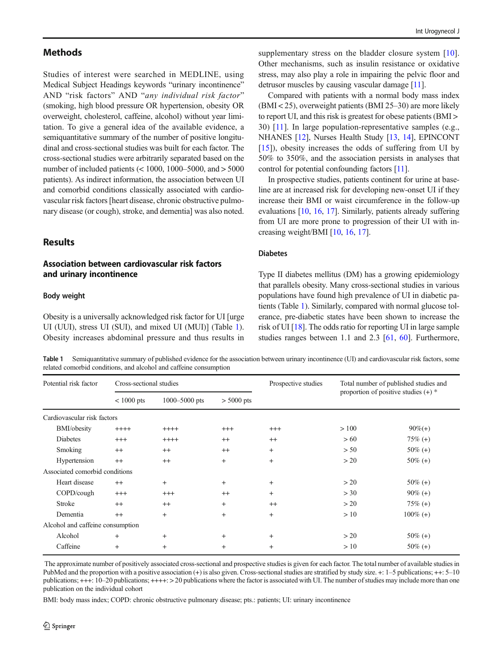# <span id="page-1-0"></span>**Methods**

Studies of interest were searched in MEDLINE, using Medical Subject Headings keywords "urinary incontinence" AND "risk factors" AND "any individual risk factor" (smoking, high blood pressure OR hypertension, obesity OR overweight, cholesterol, caffeine, alcohol) without year limitation. To give a general idea of the available evidence, a semiquantitative summary of the number of positive longitudinal and cross-sectional studies was built for each factor. The cross-sectional studies were arbitrarily separated based on the number of included patients (< 1000, 1000–5000, and > 5000 patients). As indirect information, the association between UI and comorbid conditions classically associated with cardiovascular risk factors [heart disease, chronic obstructive pulmonary disease (or cough), stroke, and dementia] was also noted.

## Results

# Association between cardiovascular risk factors and urinary incontinence

#### Body weight

Obesity is a universally acknowledged risk factor for UI [urge UI (UUI), stress UI (SUI), and mixed UI (MUI)] (Table 1). Obesity increases abdominal pressure and thus results in supplementary stress on the bladder closure system [\[10](#page-5-0)]. Other mechanisms, such as insulin resistance or oxidative stress, may also play a role in impairing the pelvic floor and detrusor muscles by causing vascular damage [[11](#page-5-0)].

Compared with patients with a normal body mass index (BMI < 25), overweight patients (BMI 25–30) are more likely to report UI, and this risk is greatest for obese patients (BMI > 30) [[11](#page-5-0)]. In large population-representative samples (e.g., NHANES [[12](#page-5-0)], Nurses Health Study [\[13,](#page-5-0) [14\]](#page-5-0), EPINCONT  $[15]$ ), obesity increases the odds of suffering from UI by 50% to 350%, and the association persists in analyses that control for potential confounding factors [[11](#page-5-0)].

In prospective studies, patients continent for urine at baseline are at increased risk for developing new-onset UI if they increase their BMI or waist circumference in the follow-up evaluations [\[10,](#page-5-0) [16](#page-5-0), [17](#page-5-0)]. Similarly, patients already suffering from UI are more prone to progression of their UI with increasing weight/BMI [\[10,](#page-5-0) [16,](#page-5-0) [17\]](#page-5-0).

### Diabetes

Type II diabetes mellitus (DM) has a growing epidemiology that parallels obesity. Many cross-sectional studies in various populations have found high prevalence of UI in diabetic patients (Table 1). Similarly, compared with normal glucose tolerance, pre-diabetic states have been shown to increase the risk of UI [\[18\]](#page-5-0). The odds ratio for reporting UI in large sample studies ranges between 1.1 and 2.3 [[61,](#page-6-0) [60](#page-6-0)]. Furthermore,

Table 1 Semiquantitative summary of published evidence for the association between urinary incontinence (UI) and cardiovascular risk factors, some related comorbid conditions, and alcohol and caffeine consumption

| Potential risk factor            | Cross-sectional studies |                   |              | Prospective studies                    | Total number of published studies and |             |
|----------------------------------|-------------------------|-------------------|--------------|----------------------------------------|---------------------------------------|-------------|
|                                  | $< 1000$ pts            | $1000 - 5000$ pts | $> 5000$ pts | proportion of positive studies $(+)$ * |                                       |             |
| Cardiovascular risk factors      |                         |                   |              |                                        |                                       |             |
| <b>BMI/obesity</b>               | $++++$                  | $++++$            | $^{+++}$     | $^{+++}$                               | >100                                  | $90\%(+)$   |
| <b>Diabetes</b>                  | $^{+++}$                | $++++$            | $++$         | $++$                                   | >60                                   | $75\% (+)$  |
| Smoking                          | $^{++}$                 | $^{++}$           | $^{++}$      | $+$                                    | > 50                                  | $50\% (+)$  |
| Hypertension                     | $++$                    | $++$              | $+$          | $+$                                    | >20                                   | $50\% (+)$  |
| Associated comorbid conditions   |                         |                   |              |                                        |                                       |             |
| Heart disease                    | $++$                    | $+$               | $^{+}$       | $+$                                    | >20                                   | $50\%$ (+)  |
| COPD/cough                       | $^{+++}$                | $^{+++}$          | $++$         | $+$                                    | > 30                                  | $90\% (+)$  |
| <b>Stroke</b>                    | $^{++}$                 | $++$              | $+$          | $++$                                   | >20                                   | $75\% (+)$  |
| Dementia                         | $++$                    | $+$               | $+$          | $+$                                    | >10                                   | $100\%$ (+) |
| Alcohol and caffeine consumption |                         |                   |              |                                        |                                       |             |
| Alcohol                          | $+$                     | $+$               | $\ddot{}$    | $+$                                    | >20                                   | $50\% (+)$  |
| Caffeine                         | $+$                     | $+$               | $\ddot{}$    | $+$                                    | >10                                   | $50\% (+)$  |

The approximate number of positively associated cross-sectional and prospective studies is given for each factor. The total number of available studies in PubMed and the proportion with a positive association  $(+)$  is also given. Cross-sectional studies are stratified by study size.  $+: 1-5$  publications;  $++: 5-10$ publications; +++: 10–20 publications; ++++: > 20 publications where the factor is associated with UI. The number of studies may include more than one publication on the individual cohort

BMI: body mass index; COPD: chronic obstructive pulmonary disease; pts.: patients; UI: urinary incontinence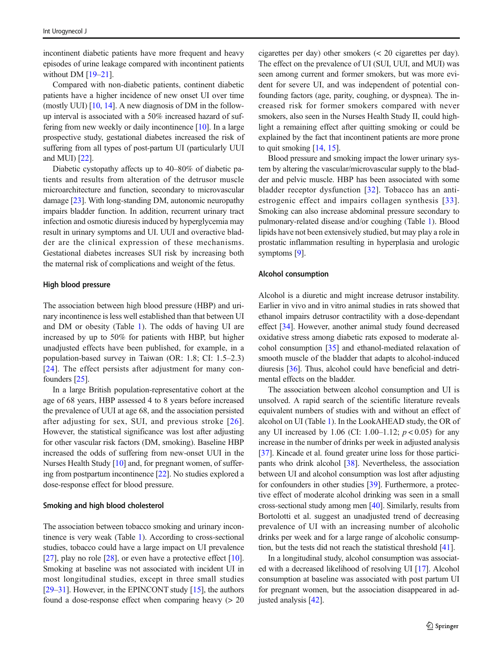incontinent diabetic patients have more frequent and heavy episodes of urine leakage compared with incontinent patients without DM  $[19-21]$  $[19-21]$  $[19-21]$  $[19-21]$  $[19-21]$ .

Compared with non-diabetic patients, continent diabetic patients have a higher incidence of new onset UI over time (mostly UUI)  $[10, 14]$  $[10, 14]$  $[10, 14]$  $[10, 14]$  $[10, 14]$ . A new diagnosis of DM in the followup interval is associated with a 50% increased hazard of suffering from new weekly or daily incontinence  $[10]$  $[10]$  $[10]$ . In a large prospective study, gestational diabetes increased the risk of suffering from all types of post-partum UI (particularly UUI and MUI) [[22](#page-5-0)].

Diabetic cystopathy affects up to 40–80% of diabetic patients and results from alteration of the detrusor muscle microarchitecture and function, secondary to microvascular damage [[23](#page-5-0)]. With long-standing DM, autonomic neuropathy impairs bladder function. In addition, recurrent urinary tract infection and osmotic diuresis induced by hyperglycemia may result in urinary symptoms and UI. UUI and overactive bladder are the clinical expression of these mechanisms. Gestational diabetes increases SUI risk by increasing both the maternal risk of complications and weight of the fetus.

#### High blood pressure

The association between high blood pressure (HBP) and urinary incontinence is less well established than that between UI and DM or obesity (Table [1](#page-1-0)). The odds of having UI are increased by up to 50% for patients with HBP, but higher unadjusted effects have been published, for example, in a population-based survey in Taiwan (OR: 1.8; CI: 1.5–2.3) [\[24\]](#page-5-0). The effect persists after adjustment for many confounders [[25](#page-5-0)].

In a large British population-representative cohort at the age of 68 years, HBP assessed 4 to 8 years before increased the prevalence of UUI at age 68, and the association persisted after adjusting for sex, SUI, and previous stroke [[26](#page-5-0)]. However, the statistical significance was lost after adjusting for other vascular risk factors (DM, smoking). Baseline HBP increased the odds of suffering from new-onset UUI in the Nurses Health Study [\[10](#page-5-0)] and, for pregnant women, of suffering from postpartum incontinence [[22](#page-5-0)]. No studies explored a dose-response effect for blood pressure.

#### Smoking and high blood cholesterol

The association between tobacco smoking and urinary incontinence is very weak (Table [1](#page-1-0)). According to cross-sectional studies, tobacco could have a large impact on UI prevalence [\[27\]](#page-5-0), play no role [[28](#page-5-0)], or even have a protective effect [[10\]](#page-5-0). Smoking at baseline was not associated with incident UI in most longitudinal studies, except in three small studies [\[29](#page-5-0)–[31\]](#page-5-0). However, in the EPINCONT study [\[15](#page-5-0)], the authors found a dose-response effect when comparing heavy (> 20 cigarettes per day) other smokers (< 20 cigarettes per day). The effect on the prevalence of UI (SUI, UUI, and MUI) was seen among current and former smokers, but was more evident for severe UI, and was independent of potential confounding factors (age, parity, coughing, or dyspnea). The increased risk for former smokers compared with never smokers, also seen in the Nurses Health Study II, could highlight a remaining effect after quitting smoking or could be explained by the fact that incontinent patients are more prone to quit smoking  $[14, 15]$  $[14, 15]$  $[14, 15]$ .

Blood pressure and smoking impact the lower urinary system by altering the vascular/microvascular supply to the bladder and pelvic muscle. HBP has been associated with some bladder receptor dysfunction [[32](#page-5-0)]. Tobacco has an antiestrogenic effect and impairs collagen synthesis [[33](#page-5-0)]. Smoking can also increase abdominal pressure secondary to pulmonary-related disease and/or coughing (Table [1\)](#page-1-0). Blood lipids have not been extensively studied, but may play a role in prostatic inflammation resulting in hyperplasia and urologic symptoms [[9\]](#page-5-0).

#### Alcohol consumption

Alcohol is a diuretic and might increase detrusor instability. Earlier in vivo and in vitro animal studies in rats showed that ethanol impairs detrusor contractility with a dose-dependant effect [\[34\]](#page-5-0). However, another animal study found decreased oxidative stress among diabetic rats exposed to moderate alcohol consumption [[35](#page-5-0)] and ethanol-mediated relaxation of smooth muscle of the bladder that adapts to alcohol-induced diuresis [[36](#page-5-0)]. Thus, alcohol could have beneficial and detrimental effects on the bladder.

The association between alcohol consumption and UI is unsolved. A rapid search of the scientific literature reveals equivalent numbers of studies with and without an effect of alcohol on UI (Table [1\)](#page-1-0). In the LookAHEAD study, the OR of any UI increased by 1.06 (CI: 1.00–1.12;  $p < 0.05$ ) for any increase in the number of drinks per week in adjusted analysis [\[37](#page-5-0)]. Kincade et al. found greater urine loss for those participants who drink alcohol [[38](#page-5-0)]. Nevertheless, the association between UI and alcohol consumption was lost after adjusting for confounders in other studies [[39](#page-5-0)]. Furthermore, a protective effect of moderate alcohol drinking was seen in a small cross-sectional study among men [\[40](#page-5-0)]. Similarly, results from Bortolotti et al. suggest an unadjusted trend of decreasing prevalence of UI with an increasing number of alcoholic drinks per week and for a large range of alcoholic consumption, but the tests did not reach the statistical threshold [[41\]](#page-5-0).

In a longitudinal study, alcohol consumption was associated with a decreased likelihood of resolving UI [[17](#page-5-0)]. Alcohol consumption at baseline was associated with post partum UI for pregnant women, but the association disappeared in adjusted analysis [[42](#page-5-0)].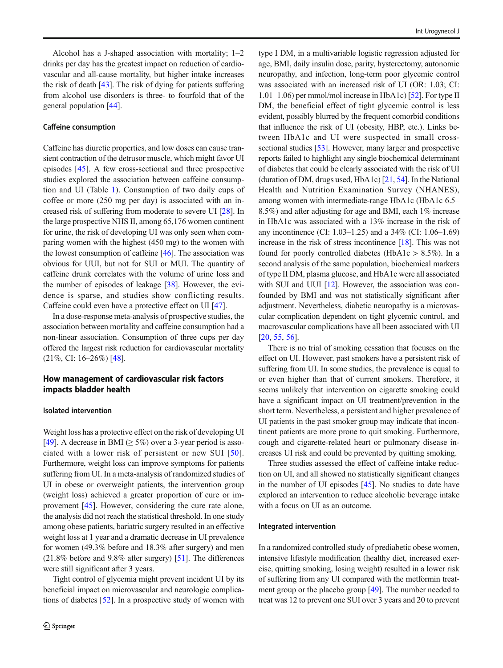Alcohol has a J-shaped association with mortality; 1–2 drinks per day has the greatest impact on reduction of cardiovascular and all-cause mortality, but higher intake increases the risk of death [[43\]](#page-5-0). The risk of dying for patients suffering from alcohol use disorders is three- to fourfold that of the general population [\[44](#page-6-0)].

#### Caffeine consumption

Caffeine has diuretic properties, and low doses can cause transient contraction of the detrusor muscle, which might favor UI episodes [[45\]](#page-6-0). A few cross-sectional and three prospective studies explored the association between caffeine consumption and UI (Table [1\)](#page-1-0). Consumption of two daily cups of coffee or more (250 mg per day) is associated with an increased risk of suffering from moderate to severe UI [[28\]](#page-5-0). In the large prospective NHS II, among 65,176 women continent for urine, the risk of developing UI was only seen when comparing women with the highest (450 mg) to the women with the lowest consumption of caffeine [\[46\]](#page-6-0). The association was obvious for UUI, but not for SUI or MUI. The quantity of caffeine drunk correlates with the volume of urine loss and the number of episodes of leakage [[38](#page-5-0)]. However, the evidence is sparse, and studies show conflicting results. Caffeine could even have a protective effect on UI [[47\]](#page-6-0).

In a dose-response meta-analysis of prospective studies, the association between mortality and caffeine consumption had a non-linear association. Consumption of three cups per day offered the largest risk reduction for cardiovascular mortality (21%, CI: 16–26%) [[48](#page-6-0)].

# How management of cardiovascular risk factors impacts bladder health

## Isolated intervention

Weight loss has a protective effect on the risk of developing UI [\[49\]](#page-6-0). A decrease in BMI ( $\geq$  5%) over a 3-year period is associated with a lower risk of persistent or new SUI [[50](#page-6-0)]. Furthermore, weight loss can improve symptoms for patients suffering from UI. In a meta-analysis of randomized studies of UI in obese or overweight patients, the intervention group (weight loss) achieved a greater proportion of cure or improvement [[45\]](#page-6-0). However, considering the cure rate alone, the analysis did not reach the statistical threshold. In one study among obese patients, bariatric surgery resulted in an effective weight loss at 1 year and a dramatic decrease in UI prevalence for women (49.3% before and 18.3% after surgery) and men (21.8% before and 9.8% after surgery) [[51\]](#page-6-0). The differences were still significant after 3 years.

Tight control of glycemia might prevent incident UI by its beneficial impact on microvascular and neurologic complications of diabetes [\[52](#page-6-0)]. In a prospective study of women with type I DM, in a multivariable logistic regression adjusted for age, BMI, daily insulin dose, parity, hysterectomy, autonomic neuropathy, and infection, long-term poor glycemic control was associated with an increased risk of UI (OR: 1.03; CI: 1.01–1.06) per mmol/mol increase in HbA1c) [\[52](#page-6-0)]. For type II DM, the beneficial effect of tight glycemic control is less evident, possibly blurred by the frequent comorbid conditions that influence the risk of UI (obesity, HBP, etc.). Links between HbA1c and UI were suspected in small cross-sectional studies [\[53](#page-6-0)]. However, many larger and prospective reports failed to highlight any single biochemical determinant of diabetes that could be clearly associated with the risk of UI (duration of DM, drugs used, HbA1c) [[21,](#page-5-0) [54\]](#page-6-0). In the National Health and Nutrition Examination Survey (NHANES), among women with intermediate-range HbA1c (HbA1c 6.5– 8.5%) and after adjusting for age and BMI, each 1% increase in HbA1c was associated with a 13% increase in the risk of any incontinence (CI: 1.03–1.25) and a 34% (CI: 1.06–1.69) increase in the risk of stress incontinence [[18\]](#page-5-0). This was not found for poorly controlled diabetes (HbA1c  $> 8.5\%$ ). In a second analysis of the same population, biochemical markers of type II DM, plasma glucose, and HbA1c were all associated with SUI and UUI [\[12\]](#page-5-0). However, the association was confounded by BMI and was not statistically significant after adjustment. Nevertheless, diabetic neuropathy is a microvascular complication dependent on tight glycemic control, and macrovascular complications have all been associated with UI [\[20](#page-5-0), [55,](#page-6-0) [56\]](#page-6-0).

There is no trial of smoking cessation that focuses on the effect on UI. However, past smokers have a persistent risk of suffering from UI. In some studies, the prevalence is equal to or even higher than that of current smokers. Therefore, it seems unlikely that intervention on cigarette smoking could have a significant impact on UI treatment/prevention in the short term. Nevertheless, a persistent and higher prevalence of UI patients in the past smoker group may indicate that incontinent patients are more prone to quit smoking. Furthermore, cough and cigarette-related heart or pulmonary disease increases UI risk and could be prevented by quitting smoking.

Three studies assessed the effect of caffeine intake reduction on UI, and all showed no statistically significant changes in the number of UI episodes [[45\]](#page-6-0). No studies to date have explored an intervention to reduce alcoholic beverage intake with a focus on UI as an outcome.

#### Integrated intervention

In a randomized controlled study of prediabetic obese women, intensive lifestyle modification (healthy diet, increased exercise, quitting smoking, losing weight) resulted in a lower risk of suffering from any UI compared with the metformin treatment group or the placebo group [\[49\]](#page-6-0). The number needed to treat was 12 to prevent one SUI over 3 years and 20 to prevent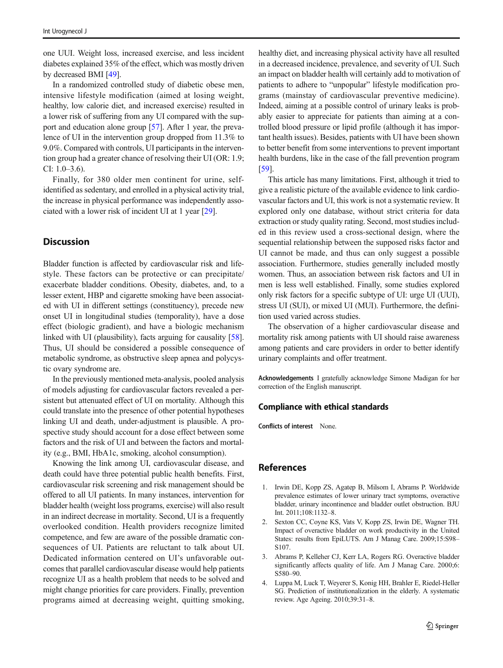<span id="page-4-0"></span>one UUI. Weight loss, increased exercise, and less incident diabetes explained 35% of the effect, which was mostly driven by decreased BMI [\[49](#page-6-0)].

In a randomized controlled study of diabetic obese men, intensive lifestyle modification (aimed at losing weight, healthy, low calorie diet, and increased exercise) resulted in a lower risk of suffering from any UI compared with the support and education alone group [\[57](#page-6-0)]. After 1 year, the prevalence of UI in the intervention group dropped from 11.3% to 9.0%. Compared with controls, UI participants in the intervention group had a greater chance of resolving their UI (OR: 1.9; CI: 1.0–3.6).

Finally, for 380 older men continent for urine, selfidentified as sedentary, and enrolled in a physical activity trial, the increase in physical performance was independently associated with a lower risk of incident UI at 1 year [\[29\]](#page-5-0).

# **Discussion**

Bladder function is affected by cardiovascular risk and lifestyle. These factors can be protective or can precipitate/ exacerbate bladder conditions. Obesity, diabetes, and, to a lesser extent, HBP and cigarette smoking have been associated with UI in different settings (constituency), precede new onset UI in longitudinal studies (temporality), have a dose effect (biologic gradient), and have a biologic mechanism linked with UI (plausibility), facts arguing for causality [[58\]](#page-6-0). Thus, UI should be considered a possible consequence of metabolic syndrome, as obstructive sleep apnea and polycystic ovary syndrome are.

In the previously mentioned meta-analysis, pooled analysis of models adjusting for cardiovascular factors revealed a persistent but attenuated effect of UI on mortality. Although this could translate into the presence of other potential hypotheses linking UI and death, under-adjustment is plausible. A prospective study should account for a dose effect between some factors and the risk of UI and between the factors and mortality (e.g., BMI, HbA1c, smoking, alcohol consumption).

Knowing the link among UI, cardiovascular disease, and death could have three potential public health benefits. First, cardiovascular risk screening and risk management should be offered to all UI patients. In many instances, intervention for bladder health (weight loss programs, exercise) will also result in an indirect decrease in mortality. Second, UI is a frequently overlooked condition. Health providers recognize limited competence, and few are aware of the possible dramatic consequences of UI. Patients are reluctant to talk about UI. Dedicated information centered on UI's unfavorable outcomes that parallel cardiovascular disease would help patients recognize UI as a health problem that needs to be solved and might change priorities for care providers. Finally, prevention programs aimed at decreasing weight, quitting smoking, healthy diet, and increasing physical activity have all resulted in a decreased incidence, prevalence, and severity of UI. Such an impact on bladder health will certainly add to motivation of patients to adhere to "unpopular" lifestyle modification programs (mainstay of cardiovascular preventive medicine). Indeed, aiming at a possible control of urinary leaks is probably easier to appreciate for patients than aiming at a controlled blood pressure or lipid profile (although it has important health issues). Besides, patients with UI have been shown to better benefit from some interventions to prevent important health burdens, like in the case of the fall prevention program [\[59](#page-6-0)].

This article has many limitations. First, although it tried to give a realistic picture of the available evidence to link cardiovascular factors and UI, this work is not a systematic review. It explored only one database, without strict criteria for data extraction or study quality rating. Second, most studies included in this review used a cross-sectional design, where the sequential relationship between the supposed risks factor and UI cannot be made, and thus can only suggest a possible association. Furthermore, studies generally included mostly women. Thus, an association between risk factors and UI in men is less well established. Finally, some studies explored only risk factors for a specific subtype of UI: urge UI (UUI), stress UI (SUI), or mixed UI (MUI). Furthermore, the definition used varied across studies.

The observation of a higher cardiovascular disease and mortality risk among patients with UI should raise awareness among patients and care providers in order to better identify urinary complaints and offer treatment.

Acknowledgements I gratefully acknowledge Simone Madigan for her correction of the English manuscript.

#### Compliance with ethical standards

Conflicts of interest None.

## References

- 1. Irwin DE, Kopp ZS, Agatep B, Milsom I, Abrams P. Worldwide prevalence estimates of lower urinary tract symptoms, overactive bladder, urinary incontinence and bladder outlet obstruction. BJU Int. 2011;108:1132–8.
- 2. Sexton CC, Coyne KS, Vats V, Kopp ZS, Irwin DE, Wagner TH. Impact of overactive bladder on work productivity in the United States: results from EpiLUTS. Am J Manag Care. 2009;15:S98– S107.
- 3. Abrams P, Kelleher CJ, Kerr LA, Rogers RG. Overactive bladder significantly affects quality of life. Am J Manag Care. 2000;6: S580–90.
- 4. Luppa M, Luck T, Weyerer S, Konig HH, Brahler E, Riedel-Heller SG. Prediction of institutionalization in the elderly. A systematic review. Age Ageing. 2010;39:31–8.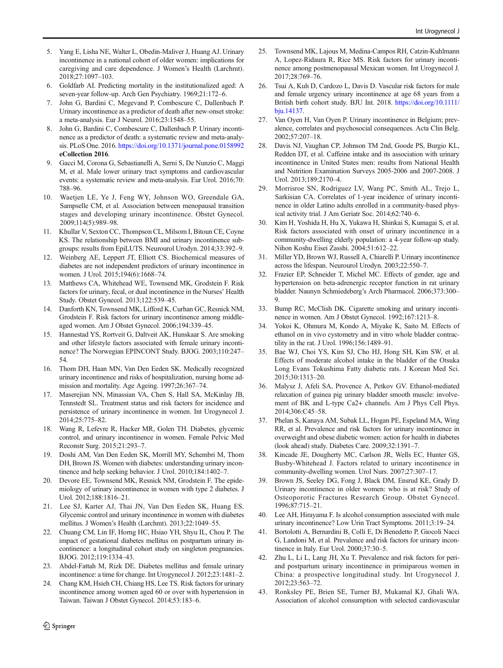- <span id="page-5-0"></span>5. Yang E, Lisha NE, Walter L, Obedin-Maliver J, Huang AJ. Urinary incontinence in a national cohort of older women: implications for caregiving and care dependence. J Women's Health (Larchmt). 2018;27:1097–103.
- 6. Goldfarb AI. Predicting mortality in the institutionalized aged: A seven-year follow-up. Arch Gen Psychiatry. 1969;21:172–6.
- 7. John G, Bardini C, Megevand P, Combescure C, Dallenbach P. Urinary incontinence as a predictor of death after new-onset stroke: a meta-analysis. Eur J Neurol. 2016;23:1548–55.
- 8. John G, Bardini C, Combescure C, Dallenbach P. Urinary incontinence as a predictor of death: a systematic review and meta-analysis. PLoS One. 2016. <https://doi.org/10.1371/journal.pone.0158992> eCollection 2016.
- 9. Gacci M, Corona G, Sebastianelli A, Serni S, De Nunzio C, Maggi M, et al. Male lower urinary tract symptoms and cardiovascular events: a systematic review and meta-analysis. Eur Urol. 2016;70: 788–96.
- 10. Waetjen LE, Ye J, Feng WY, Johnson WO, Greendale GA, Sampselle CM, et al. Association between menopausal transition stages and developing urinary incontinence. Obstet Gynecol. 2009;114(5):989–98.
- 11. Khullar V, Sexton CC, Thompson CL, Milsom I, Bitoun CE, Coyne KS. The relationship between BMI and urinary incontinence subgroups: results from EpiLUTS. Neurourol Urodyn. 2014;33:392–9.
- 12. Weinberg AE, Leppert JT, Elliott CS. Biochemical measures of diabetes are not independent predictors of urinary incontinence in women. J Urol. 2015;194(6):1668–74.
- 13. Matthews CA, Whitehead WE, Townsend MK, Grodstein F. Risk factors for urinary, fecal, or dual incontinence in the Nurses' Health Study. Obstet Gynecol. 2013;122:539–45.
- 14. Danforth KN, Townsend MK, Lifford K, Curhan GC, Resnick NM, Grodstein F. Risk factors for urinary incontinence among middleaged women. Am J Obstet Gynecol. 2006;194:339–45.
- 15. Hannestad YS, Rortveit G, Daltveit AK, Hunskaar S. Are smoking and other lifestyle factors associated with female urinary incontinence? The Norwegian EPINCONT Study. BJOG. 2003;110:247– 54.
- 16. Thom DH, Haan MN, Van Den Eeden SK. Medically recognized urinary incontinence and risks of hospitalization, nursing home admission and mortality. Age Ageing. 1997;26:367–74.
- 17. Maserejian NN, Minassian VA, Chen S, Hall SA, McKinlay JB, Tennstedt SL. Treatment status and risk factors for incidence and persistence of urinary incontinence in women. Int Urogynecol J. 2014;25:775–82.
- 18. Wang R, Lefevre R, Hacker MR, Golen TH. Diabetes, glycemic control, and urinary incontinence in women. Female Pelvic Med Reconstr Surg. 2015;21:293–7.
- 19. Doshi AM, Van Den Eeden SK, Morrill MY, Schembri M, Thom DH, Brown JS. Women with diabetes: understanding urinary incontinence and help seeking behavior. J Urol. 2010;184:1402–7.
- 20. Devore EE, Townsend MK, Resnick NM, Grodstein F. The epidemiology of urinary incontinence in women with type 2 diabetes. J Urol. 2012;188:1816–21.
- 21. Lee SJ, Karter AJ, Thai JN, Van Den Eeden SK, Huang ES. Glycemic control and urinary incontinence in women with diabetes mellitus. J Women's Health (Larchmt). 2013;22:1049–55.
- 22. Chuang CM, Lin IF, Horng HC, Hsiao YH, Shyu IL, Chou P. The impact of gestational diabetes mellitus on postpartum urinary incontinence: a longitudinal cohort study on singleton pregnancies. BJOG. 2012;119:1334–43.
- 23. Abdel-Fattah M, Rizk DE. Diabetes mellitus and female urinary incontinence: a time for change. Int Urogynecol J. 2012;23:1481–2.
- 24. Chang KM, Hsieh CH, Chiang HS, Lee TS. Risk factors for urinary incontinence among women aged 60 or over with hypertension in Taiwan. Taiwan J Obstet Gynecol. 2014;53:183–6.
- 25. Townsend MK, Lajous M, Medina-Campos RH, Catzin-Kuhlmann A, Lopez-Ridaura R, Rice MS. Risk factors for urinary incontinence among postmenopausal Mexican women. Int Urogynecol J. 2017;28:769–76.
- 26. Tsui A, Kuh D, Cardozo L, Davis D. Vascular risk factors for male and female urgency urinary incontinence at age 68 years from a British birth cohort study. BJU Int. 2018. [https://doi.org/10.1111/](https://doi.org/10.1111/bju.14137) [bju.14137](https://doi.org/10.1111/bju.14137).
- 27. Van Oyen H, Van Oyen P. Urinary incontinence in Belgium; prevalence, correlates and psychosocial consequences. Acta Clin Belg. 2002;57:207–18.
- 28. Davis NJ, Vaughan CP, Johnson TM 2nd, Goode PS, Burgio KL, Redden DT, et al. Caffeine intake and its association with urinary incontinence in United States men: results from National Health and Nutrition Examination Surveys 2005-2006 and 2007-2008. J Urol. 2013;189:2170–4.
- 29. Morrisroe SN, Rodriguez LV, Wang PC, Smith AL, Trejo L, Sarkisian CA. Correlates of 1-year incidence of urinary incontinence in older Latino adults enrolled in a community-based physical activity trial. J Am Geriatr Soc. 2014;62:740–6.
- 30. Kim H, Yoshida H, Hu X, Yukawa H, Shinkai S, Kumagai S, et al. Risk factors associated with onset of urinary incontinence in a community-dwelling elderly population: a 4-year follow-up study. Nihon Koshu Eisei Zasshi. 2004;51:612–22.
- 31. Miller YD, Brown WJ, Russell A, Chiarelli P. Urinary incontinence across the lifespan. Neurourol Urodyn. 2003;22:550–7.
- 32. Frazier EP, Schneider T, Michel MC. Effects of gender, age and hypertension on beta-adrenergic receptor function in rat urinary bladder. Naunyn Schmiedeberg's Arch Pharmacol. 2006;373:300– 9.
- 33. Bump RC, McClish DK. Cigarette smoking and urinary incontinence in women. Am J Obstet Gynecol. 1992;167:1213–8.
- 34. Yokoi K, Ohmura M, Kondo A, Miyake K, Saito M. Effects of ethanol on in vivo cystometry and in vitro whole bladder contractility in the rat. J Urol. 1996;156:1489–91.
- 35. Bae WJ, Choi YS, Kim SJ, Cho HJ, Hong SH, Kim SW, et al. Effects of moderate alcohol intake in the bladder of the Otsuka Long Evans Tokushima Fatty diabetic rats. J Korean Med Sci. 2015;30:1313–20.
- 36. Malysz J, Afeli SA, Provence A, Petkov GV. Ethanol-mediated relaxation of guinea pig urinary bladder smooth muscle: involvement of BK and L-type Ca2+ channels. Am J Phys Cell Phys. 2014;306:C45–58.
- 37. Phelan S, Kanaya AM, Subak LL, Hogan PE, Espeland MA, Wing RR, et al. Prevalence and risk factors for urinary incontinence in overweight and obese diabetic women: action for health in diabetes (look ahead) study. Diabetes Care. 2009;32:1391–7.
- 38. Kincade JE, Dougherty MC, Carlson JR, Wells EC, Hunter GS, Busby-Whitehead J. Factors related to urinary incontinence in community-dwelling women. Urol Nurs. 2007;27:307–17.
- 39. Brown JS, Seeley DG, Fong J, Black DM, Ensrud KE, Grady D. Urinary incontinence in older women: who is at risk? Study of Osteoporotic Fractures Research Group. Obstet Gynecol. 1996;87:715–21.
- 40. Lee AH, Hirayama F. Is alcohol consumption associated with male urinary incontinence? Low Urin Tract Symptoms. 2011;3:19–24.
- 41. Bortolotti A, Bernardini B, Colli E, Di Benedetto P, Giocoli Nacci G, Landoni M, et al. Prevalence and risk factors for urinary incontinence in Italy. Eur Urol. 2000;37:30–5.
- 42. Zhu L, Li L, Lang JH, Xu T. Prevalence and risk factors for periand postpartum urinary incontinence in primiparous women in China: a prospective longitudinal study. Int Urogynecol J. 2012;23:563–72.
- 43. Ronksley PE, Brien SE, Turner BJ, Mukamal KJ, Ghali WA. Association of alcohol consumption with selected cardiovascular